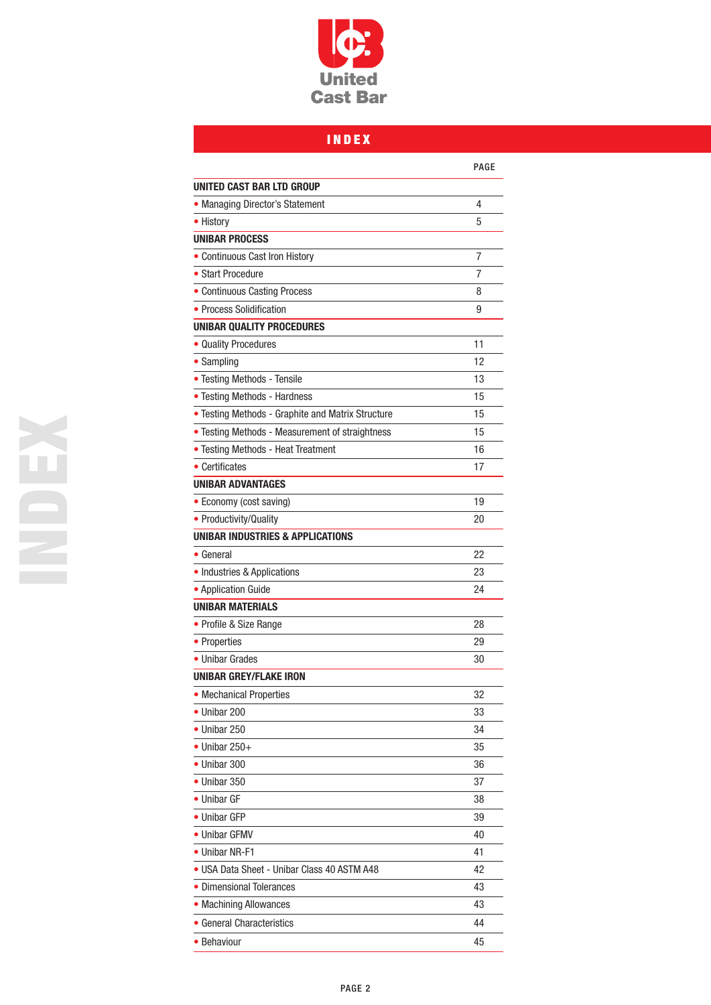

## INDEX

|                                                   | PAGE |
|---------------------------------------------------|------|
| UNITED CAST BAR LTD GROUP                         |      |
| • Managing Director's Statement                   | 4    |
| • History                                         | 5    |
| <b>UNIBAR PROCESS</b>                             |      |
| • Continuous Cast Iron History                    | 7    |
| • Start Procedure                                 | 7    |
| • Continuous Casting Process                      | 8    |
| • Process Solidification                          | 9    |
| <b>UNIBAR QUALITY PROCEDURES</b>                  |      |
| • Quality Procedures                              | 11   |
| • Sampling                                        | 12   |
| • Testing Methods - Tensile                       | 13   |
| • Testing Methods - Hardness                      | 15   |
| • Testing Methods - Graphite and Matrix Structure | 15   |
| • Testing Methods - Measurement of straightness   | 15   |
| • Testing Methods - Heat Treatment                | 16   |
| • Certificates                                    | 17   |
| <b>UNIBAR ADVANTAGES</b>                          |      |
| • Economy (cost saving)                           | 19   |
| • Productivity/Quality                            | 20   |
| <b>UNIBAR INDUSTRIES &amp; APPLICATIONS</b>       |      |
| • General                                         | 22   |
| • Industries & Applications                       | 23   |
| • Application Guide                               | 24   |
| <b>UNIBAR MATERIALS</b>                           |      |
| • Profile & Size Range                            | 28   |
| • Properties                                      | 29   |
| • Unibar Grades                                   | 30   |
| <b>UNIBAR GREY/FLAKE IRON</b>                     |      |
| • Mechanical Properties                           | 32   |
| • Unibar 200                                      | 33   |
| • Unibar 250                                      | 34   |
| $\bullet$ Unibar 250+                             | 35   |
| $\bullet$ Unibar 300                              | 36   |
| • Unibar 350                                      | 37   |
| • Unibar GF                                       | 38   |
| • Unibar GFP                                      | 39   |
| • Unibar GFMV                                     | 40   |
| • Unibar NR-F1                                    | 41   |
| • USA Data Sheet - Unibar Class 40 ASTM A48       | 42   |
| • Dimensional Tolerances                          | 43   |
| • Machining Allowances                            | 43   |
| • General Characteristics                         | 44   |
| • Behaviour                                       | 45   |